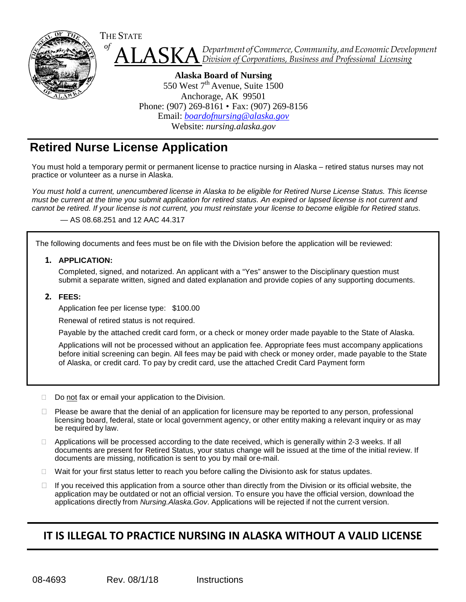

ASKA *of Department ofCommerce,Community, andEconomicDevelopment Division of Corporations, Business and Professional Licensing*

**Alaska Board of Nursing** 550 West  $7<sup>th</sup>$  Avenue, Suite 1500 Anchorage, AK 99501 Phone: (907) 269-8161 • Fax: (907) 269-8156 Email: *[boardofnursing@alaska.gov](mailto:boardofnursing@alaska.gov)* Website: *[nursing.alaska.gov](http://nursing.alaska.gov/)*

## **Retired Nurse License Application**

You must hold a temporary permit or permanent license to practice nursing in Alaska – retired status nurses may not practice or volunteer as a nurse in Alaska.

*You must hold a current, unencumbered license in Alaska to be eligible for Retired Nurse License Status. This license must be current at the time you submit application for retired status. An expired or lapsed license is not current and cannot be retired. If your license is not current, you must reinstate your license to become eligible for Retired status.*

— AS 08.68.251 and 12 AAC 44.317

The following documents and fees must be on file with the Division before the application will be reviewed:

**1. APPLICATION:**

Completed, signed, and notarized. An applicant with a "Yes" answer to the Disciplinary question must submit a separate written, signed and dated explanation and provide copies of any supporting documents.

## **2. FEES:**

Application fee per license type: \$100.00

Renewal of retired status is not required.

Payable by the attached credit card form, or a check or money order made payable to the State of Alaska.

Applications will not be processed without an application fee. Appropriate fees must accompany applications before initial screening can begin. All fees may be paid with check or money order, made payable to the State of Alaska, or credit card. To pay by credit card, use the attached Credit Card Payment form

Do not fax or email your application to the Division.

- □ Please be aware that the denial of an application for licensure may be reported to any person, professional licensing board, federal, state or local government agency, or other entity making a relevant inquiry or as may be required by law.
- □ Applications will be processed according to the date received, which is generally within 2-3 weeks. If all documents are present for Retired Status, your status change will be issued at the time of the initial review. If documents are missing, notification is sent to you by mail ore-mail.
- $\Box$  Wait for your first status letter to reach you before calling the Divisionto ask for status updates.
- $\Box$  If you received this application from a source other than directly from the Division or its official website, the application may be outdated or not an official version. To ensure you have the official version, download the applications directly from *Nursing.Alaska.Gov*. Applications will be rejected if not the current version.

## **IT IS ILLEGAL TO PRACTICE NURSING IN ALASKA WITHOUT A VALID LICENSE**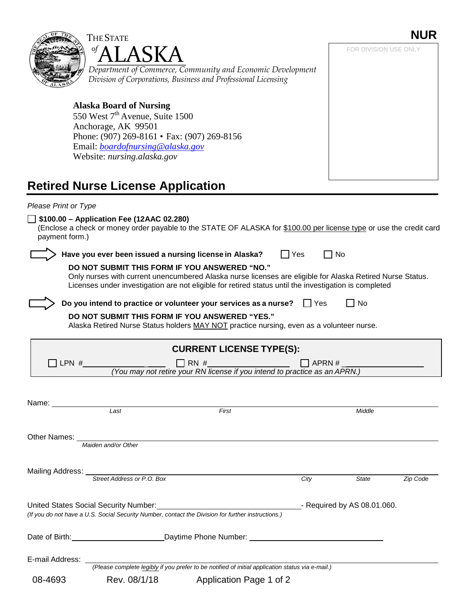

*(Please complete legibly if you prefer to be notified of initial application status via e-mail.)*

08-4693 Rev. 08/1/18 Application Page 1 of 2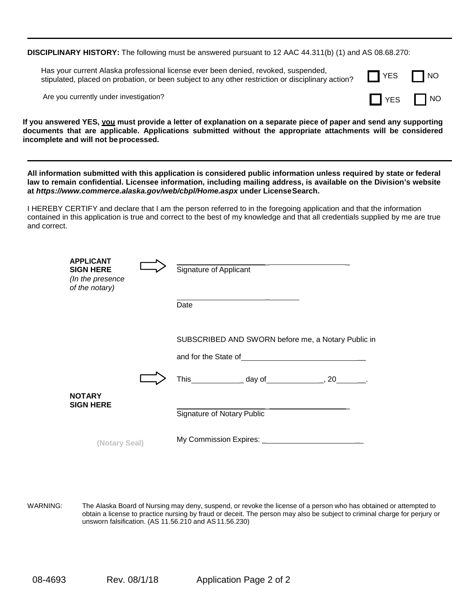**DISCIPLINARY HISTORY:** The following must be answered pursuant to 12 AAC 44.311(b) (1) and AS 08.68.270:

Has your current Alaska professional license ever been denied, revoked, suspended, stipulated, placed on probation, or been subject to any other restriction or disciplinary action?

Are you currently under investigation?



**If you answered YES, you must provide a letter of explanation on a separate piece of paper and send any supporting documents that are applicable. Applications submitted without the appropriate attachments will be considered incomplete and will not beprocessed.**

All information submitted with this application is considered public information unless required by state or federal **law to remain confidential. Licensee information, including mailing address, is available on the Division's website at** *<https://www.commerce.alaska.gov/web/cbpl/Home.aspx>***under LicenseSearch.**

I HEREBY CERTIFY and declare that I am the person referred to in the foregoing application and that the information contained in this application is true and correct to the best of my knowledge and that all credentials supplied by me are true and correct.

| <b>APPLICANT</b><br><b>SIGN HERE</b><br>(In the presence<br>of the notary) |  | Signature of Applicant                                             |
|----------------------------------------------------------------------------|--|--------------------------------------------------------------------|
|                                                                            |  | Date                                                               |
|                                                                            |  | SUBSCRIBED AND SWORN before me, a Notary Public in                 |
|                                                                            |  | and for the State of <b>Example 20</b> and for the State of        |
|                                                                            |  | This _________________ day of _____________________, 20__________. |
| <b>NOTARY</b><br><b>SIGN HERE</b>                                          |  | Signature of Notary Public                                         |
| (Notary Seal)                                                              |  |                                                                    |
|                                                                            |  |                                                                    |

WARNING: The Alaska Board of Nursing may deny, suspend, or revoke the license of a person who has obtained or attempted to obtain a license to practice nursing by fraud or deceit. The person may also be subject to criminal charge for perjury or unsworn falsification. (AS 11.56.210 and AS11.56.230)